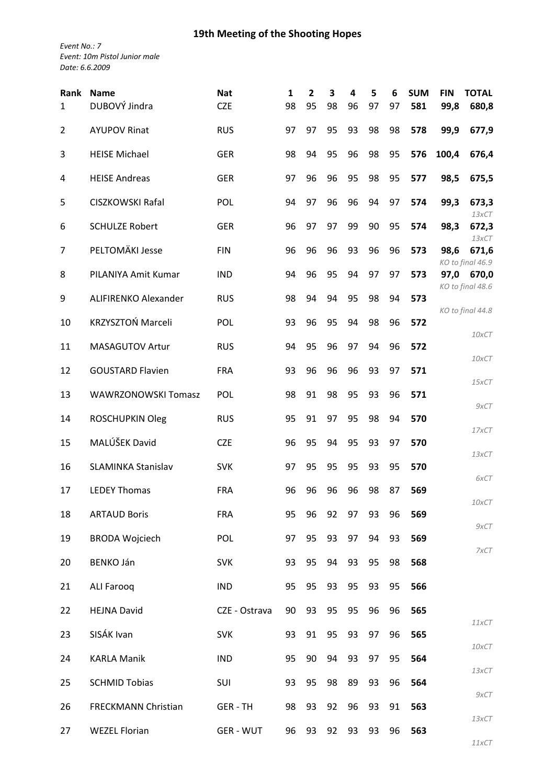## **19th Meeting of the Shooting Hopes**

*Event No.: 7 Event: 10m Pistol Junior male Date: 6.6.2009*

| Rank<br>$\mathbf{1}$ | <b>Name</b><br>DUBOVÝ Jindra | <b>Nat</b><br><b>CZE</b> | $\mathbf{1}$<br>98 | 2<br>95 | 3<br>98 | 4<br>96 | 5<br>97 | 6<br>97 | <b>SUM</b><br>581 | <b>FIN</b><br>99,8 | <b>TOTAL</b><br>680,8     |
|----------------------|------------------------------|--------------------------|--------------------|---------|---------|---------|---------|---------|-------------------|--------------------|---------------------------|
| $\overline{2}$       | <b>AYUPOV Rinat</b>          | <b>RUS</b>               | 97                 | 97      | 95      | 93      | 98      | 98      | 578               | 99,9               | 677,9                     |
| 3                    | <b>HEISE Michael</b>         | <b>GER</b>               | 98                 | 94      | 95      | 96      | 98      | 95      | 576               | 100,4              | 676,4                     |
| 4                    | <b>HEISE Andreas</b>         | <b>GER</b>               | 97                 | 96      | 96      | 95      | 98      | 95      | 577               | 98,5               | 675,5                     |
| 5                    | CISZKOWSKI Rafal             | POL                      | 94                 | 97      | 96      | 96      | 94      | 97      | 574               | 99,3               | 673,3<br>13xCT            |
| 6                    | <b>SCHULZE Robert</b>        | <b>GER</b>               | 96                 | 97      | 97      | 99      | 90      | 95      | 574               | 98,3               | 672,3<br>13xCT            |
| 7                    | PELTOMÄKI Jesse              | <b>FIN</b>               | 96                 | 96      | 96      | 93      | 96      | 96      | 573               | 98,6               | 671,6<br>KO to final 46.9 |
| 8                    | PILANIYA Amit Kumar          | <b>IND</b>               | 94                 | 96      | 95      | 94      | 97      | 97      | 573               | 97,0               | 670,0<br>KO to final 48.6 |
| 9                    | ALIFIRENKO Alexander         | <b>RUS</b>               | 98                 | 94      | 94      | 95      | 98      | 94      | 573               |                    | KO to final 44.8          |
| 10                   | KRZYSZTOŃ Marceli            | POL                      | 93                 | 96      | 95      | 94      | 98      | 96      | 572               |                    | 10xCT                     |
| 11                   | MASAGUTOV Artur              | <b>RUS</b>               | 94                 | 95      | 96      | 97      | 94      | 96      | 572               |                    |                           |
| 12                   | <b>GOUSTARD Flavien</b>      | <b>FRA</b>               | 93                 | 96      | 96      | 96      | 93      | 97      | 571               |                    | 10xCT                     |
| 13                   | <b>WAWRZONOWSKI Tomasz</b>   | POL                      | 98                 | 91      | 98      | 95      | 93      | 96      | 571               |                    | 15xCT<br>9xCT             |
| 14                   | ROSCHUPKIN Oleg              | <b>RUS</b>               | 95                 | 91      | 97      | 95      | 98      | 94      | 570               |                    | 17xCT                     |
| 15                   | MALÚŠEK David                | <b>CZE</b>               | 96                 | 95      | 94      | 95      | 93      | 97      | 570               |                    | 13xCT                     |
| 16                   | <b>SLAMINKA Stanislav</b>    | <b>SVK</b>               | 97                 | 95      | 95      | 95      | 93      | 95      | 570               |                    | 6xCT                      |
| 17                   | <b>LEDEY Thomas</b>          | FRA                      | 96                 | 96      | 96      | 96      | 98      | 87      | 569               |                    |                           |
| 18                   | <b>ARTAUD Boris</b>          | <b>FRA</b>               | 95                 | 96      | 92      | 97      | 93      | 96      | 569               |                    | 10xCT<br>9xCT             |
| 19                   | <b>BRODA Wojciech</b>        | POL                      | 97                 | 95      | 93      | 97      | 94      | 93      | 569               |                    | 7xCT                      |
| 20                   | <b>BENKO Ján</b>             | <b>SVK</b>               | 93                 | 95      | 94      | 93      | 95      | 98      | 568               |                    |                           |
| 21                   | <b>ALI Farooq</b>            | <b>IND</b>               | 95                 | 95      | 93      | 95      | 93      | 95      | 566               |                    |                           |
| 22                   | <b>HEJNA David</b>           | CZE - Ostrava            | 90                 | 93      | 95      | 95      | 96      | 96      | 565               |                    | 11xCT                     |
| 23                   | SISÁK Ivan                   | <b>SVK</b>               | 93                 | 91      | 95      | 93      | 97      | 96      | 565               |                    |                           |
| 24                   | <b>KARLA Manik</b>           | <b>IND</b>               | 95                 | 90      | 94      | 93      | 97      | 95      | 564               |                    | 10xCT                     |
| 25                   | <b>SCHMID Tobias</b>         | SUI                      | 93                 | 95      | 98      | 89      | 93      | 96      | 564               |                    | $13\times$ CT             |
| 26                   | <b>FRECKMANN Christian</b>   | GER-TH                   | 98                 | 93      | 92      | 96      | 93      | 91      | 563               |                    | 9xCT                      |
| 27                   | <b>WEZEL Florian</b>         | <b>GER - WUT</b>         | 96                 | 93      | 92      | 93      | 93      | 96      | 563               |                    | 13xCT                     |
|                      |                              |                          |                    |         |         |         |         |         |                   |                    | 11xCT                     |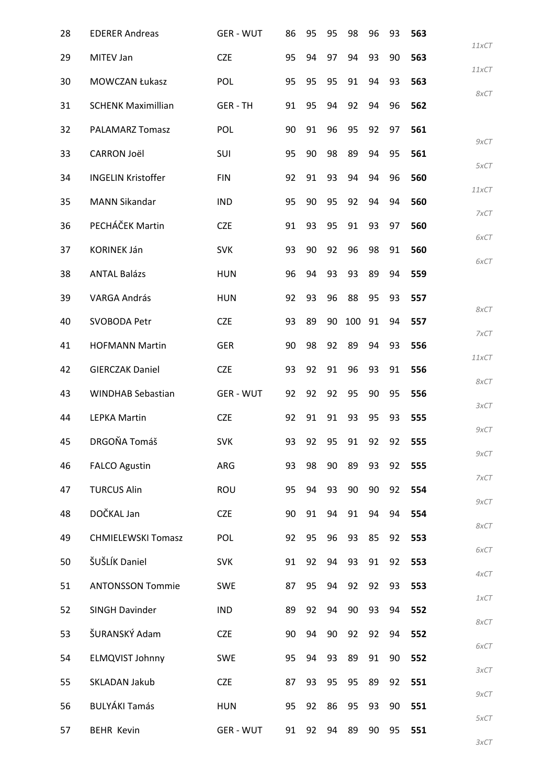| 28 | <b>EDERER Andreas</b>     | <b>GER - WUT</b> | 86 | 95 | 95 | 98  | 96 | 93 | 563 |               |
|----|---------------------------|------------------|----|----|----|-----|----|----|-----|---------------|
| 29 | MITEV Jan                 | <b>CZE</b>       | 95 | 94 | 97 | 94  | 93 | 90 | 563 | 11xCT         |
| 30 | <b>MOWCZAN Łukasz</b>     | POL              | 95 | 95 | 95 | 91  | 94 | 93 | 563 | 11xCT         |
| 31 | <b>SCHENK Maximillian</b> | <b>GER-TH</b>    | 91 | 95 | 94 | 92  | 94 | 96 | 562 | 8xCT          |
| 32 | <b>PALAMARZ Tomasz</b>    | <b>POL</b>       | 90 | 91 | 96 | 95  | 92 | 97 | 561 |               |
| 33 | <b>CARRON Joël</b>        | SUI              | 95 | 90 | 98 | 89  | 94 | 95 | 561 | 9xCT          |
| 34 | <b>INGELIN Kristoffer</b> | <b>FIN</b>       | 92 | 91 | 93 | 94  | 94 | 96 | 560 | 5xCT<br>11xCT |
| 35 | <b>MANN Sikandar</b>      | <b>IND</b>       | 95 | 90 | 95 | 92  | 94 | 94 | 560 |               |
| 36 | PECHÁČEK Martin           | <b>CZE</b>       | 91 | 93 | 95 | 91  | 93 | 97 | 560 | 7xCT<br>6xCT  |
| 37 | <b>KORINEK Ján</b>        | <b>SVK</b>       | 93 | 90 | 92 | 96  | 98 | 91 | 560 |               |
| 38 | <b>ANTAL Balázs</b>       | <b>HUN</b>       | 96 | 94 | 93 | 93  | 89 | 94 | 559 | 6xCT          |
| 39 | <b>VARGA András</b>       | <b>HUN</b>       | 92 | 93 | 96 | 88  | 95 | 93 | 557 | 8xCT          |
| 40 | SVOBODA Petr              | <b>CZE</b>       | 93 | 89 | 90 | 100 | 91 | 94 | 557 |               |
| 41 | <b>HOFMANN Martin</b>     | <b>GER</b>       | 90 | 98 | 92 | 89  | 94 | 93 | 556 | 7xCT          |
| 42 | <b>GIERCZAK Daniel</b>    | <b>CZE</b>       | 93 | 92 | 91 | 96  | 93 | 91 | 556 | 11xCT         |
| 43 | <b>WINDHAB Sebastian</b>  | <b>GER - WUT</b> | 92 | 92 | 92 | 95  | 90 | 95 | 556 | 8xCT          |
| 44 | <b>LEPKA Martin</b>       | <b>CZE</b>       | 92 | 91 | 91 | 93  | 95 | 93 | 555 | 3xCT          |
| 45 | DRGOŇA Tomáš              | <b>SVK</b>       | 93 | 92 | 95 | 91  | 92 | 92 | 555 | 9xCT          |
| 46 | <b>FALCO Agustin</b>      | ARG              | 93 | 98 | 90 | 89  | 93 | 92 | 555 | 9xCT          |
| 47 | <b>TURCUS Alin</b>        | <b>ROU</b>       | 95 | 94 | 93 | 90  | 90 | 92 | 554 | 7xCT          |
| 48 | DOČKAL Jan                | <b>CZE</b>       | 90 | 91 | 94 | 91  | 94 | 94 | 554 | 9xCT          |
| 49 | <b>CHMIELEWSKI Tomasz</b> | POL              | 92 | 95 | 96 | 93  | 85 | 92 | 553 | 8xCT          |
| 50 | ŠUŠLÍK Daniel             | <b>SVK</b>       | 91 | 92 | 94 | 93  | 91 | 92 | 553 | 6xCT          |
| 51 | <b>ANTONSSON Tommie</b>   | <b>SWE</b>       | 87 | 95 | 94 | 92  | 92 | 93 | 553 | 4xCT          |
| 52 | SINGH Davinder            | <b>IND</b>       | 89 | 92 | 94 | 90  | 93 | 94 | 552 | 1xCT          |
| 53 | ŠURANSKÝ Adam             | <b>CZE</b>       | 90 | 94 | 90 | 92  | 92 | 94 | 552 | 8xCT          |
| 54 | <b>ELMQVIST Johnny</b>    | <b>SWE</b>       | 95 | 94 | 93 | 89  | 91 | 90 | 552 | 6xCT          |
| 55 | SKLADAN Jakub             | <b>CZE</b>       | 87 | 93 | 95 | 95  | 89 | 92 | 551 | 3xCT          |
| 56 | <b>BULYÁKI Tamás</b>      | <b>HUN</b>       | 95 | 92 | 86 | 95  | 93 | 90 | 551 | 9xCT          |
| 57 | <b>BEHR Kevin</b>         | <b>GER-WUT</b>   | 91 | 92 | 94 | 89  | 90 | 95 | 551 | 5xCT          |
|    |                           |                  |    |    |    |     |    |    |     | 3xCT          |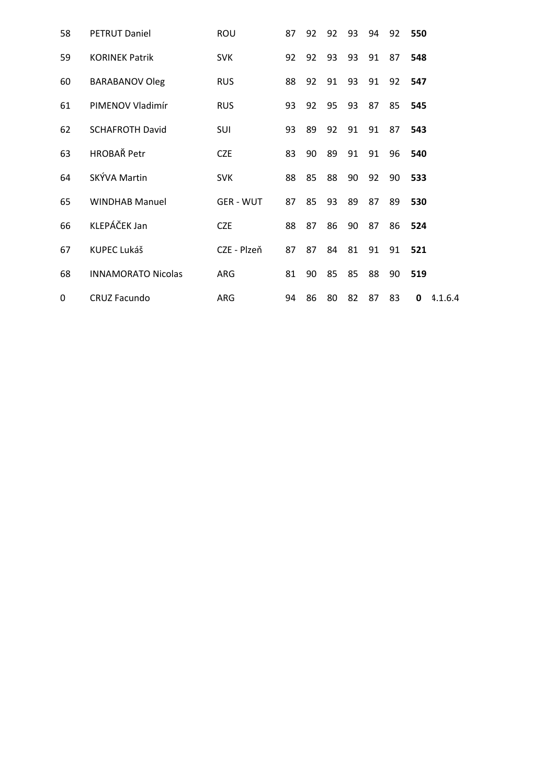| 58 | <b>PETRUT Daniel</b>      | ROU              | 87 | 92 | 92 | 93   | 94 | 92 | 550          |
|----|---------------------------|------------------|----|----|----|------|----|----|--------------|
| 59 | <b>KORINEK Patrik</b>     | <b>SVK</b>       | 92 | 92 | 93 | 93   | 91 | 87 | 548          |
| 60 | <b>BARABANOV Oleg</b>     | <b>RUS</b>       | 88 | 92 | 91 | 93   | 91 | 92 | 547          |
| 61 | PIMENOV Vladimír          | <b>RUS</b>       | 93 | 92 | 95 | 93   | 87 | 85 | 545          |
| 62 | <b>SCHAFROTH David</b>    | SUI              | 93 | 89 | 92 | 91   | 91 | 87 | 543          |
| 63 | <b>HROBAŘ Petr</b>        | <b>CZE</b>       | 83 | 90 | 89 | 91   | 91 | 96 | 540          |
| 64 | SKÝVA Martin              | <b>SVK</b>       | 88 | 85 | 88 | 90   | 92 | 90 | 533          |
| 65 | <b>WINDHAB Manuel</b>     | <b>GER - WUT</b> | 87 | 85 | 93 | 89   | 87 | 89 | 530          |
| 66 | KLEPÁČEK Jan              | <b>CZE</b>       | 88 | 87 | 86 | 90   | 87 | 86 | 524          |
| 67 | KUPEC Lukáš               | CZE - Plzeň      | 87 | 87 | 84 | - 81 | 91 | 91 | 521          |
| 68 | <b>INNAMORATO Nicolas</b> | ARG              | 81 | 90 | 85 | 85   | 88 | 90 | 519          |
| 0  | <b>CRUZ Facundo</b>       | ARG              | 94 | 86 | 80 | 82   | 87 | 83 | 0<br>4.1.6.4 |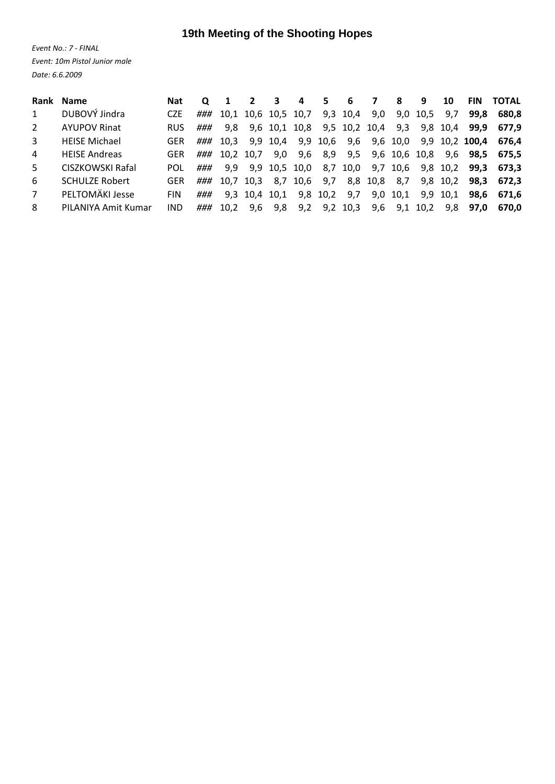## **19th Meeting of the Shooting Hopes**

*Event No.: 7 ‐ FINAL Event: 10m Pistol Junior male Date: 6.6.2009*

|              | Rank Name             | <b>Nat</b> |     |      | 2                   | 3        | 4 | 5.       | 6                                   | 7   | 8    | 9        | 10       | <b>FIN</b> | <b>TOTAL</b>         |
|--------------|-----------------------|------------|-----|------|---------------------|----------|---|----------|-------------------------------------|-----|------|----------|----------|------------|----------------------|
| $\mathbf{1}$ | DUBOVÝ Jindra         | CZF.       | ### |      | 10,1 10,6 10,5 10,7 |          |   |          | 9,3 10,4 9,0                        |     | 9,0  | 10,5 9,7 |          | 99.8       | 680.8                |
| 2            | <b>AYUPOV Rinat</b>   | <b>RUS</b> | ### | 9.8  |                     |          |   |          | 9,6 10,1 10,8 9,5 10,2 10,4 9,3     |     |      |          | 9,8 10,4 | 99.9       | 677.9                |
| 3            | <b>HEISE Michael</b>  | <b>GER</b> | ### | 10.3 |                     | 9,9 10,4 |   |          | 9,9 10,6 9,6 9,6 10,0               |     |      |          |          |            | 9,9 10,2 100,4 676,4 |
| 4            | <b>HEISE Andreas</b>  | GER.       | ### |      | 10.2 10.7           | 9,0      |   |          | 9,6 8,9 9,5 9,6 10,6 10,8 9,6       |     |      |          |          | 98.5       | 675.5                |
| 5            | CISZKOWSKI Rafal      | <b>POL</b> | ### | 9.9  |                     |          |   |          | 9,9 10,5 10,0 8,7 10,0 9,7 10,6     |     |      |          | 9,8 10,2 | 99.3       | 673.3                |
| 6            | <b>SCHULZE Robert</b> | GER.       | ### |      |                     |          |   |          | 10,7 10,3 8,7 10,6 9,7 8,8 10,8 8,7 |     |      |          | 9,8 10,2 | 98.3       | 672.3                |
| 7            | PELTOMÄKI Jesse       | <b>FIN</b> | ### |      | 9,3 10,4 10,1       |          |   | 9,8 10,2 | 9,7                                 | 9,0 | 10,1 |          | 9,9 10,1 | 98.6       | 671.6                |
| 8            | PILANIYA Amit Kumar   | IND        | ### | 10.2 | 9.6                 | 9,8      |   |          | 9,2 9,2 10,3 9,6 9,1 10,2 9,8       |     |      |          |          | 97.0       | 670.0                |